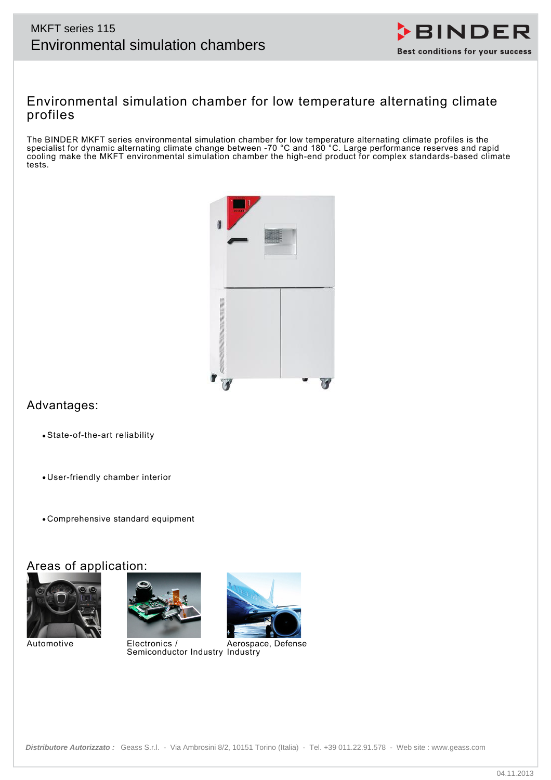# MKFT series 115



## Environmental simulation chamber for low temperature alternating climate profiles

The BINDER MKFT series environmental simulation chamber for low temperature alternating climate profiles is the specialist for dynamic alternating climate change between -70 °C and 180 °C. Large performance reserves and rapid cooling make the MKFT environmental simulation chamber the high-end product for complex standards-based climate tests.



# Advantages:

- State-of-the-art reliability
- User-friendly chamber interior
- Comprehensive standard equipment

## Areas of application:



Automotive Electronics /





Semiconductor Industry Industry Aerospace, Defense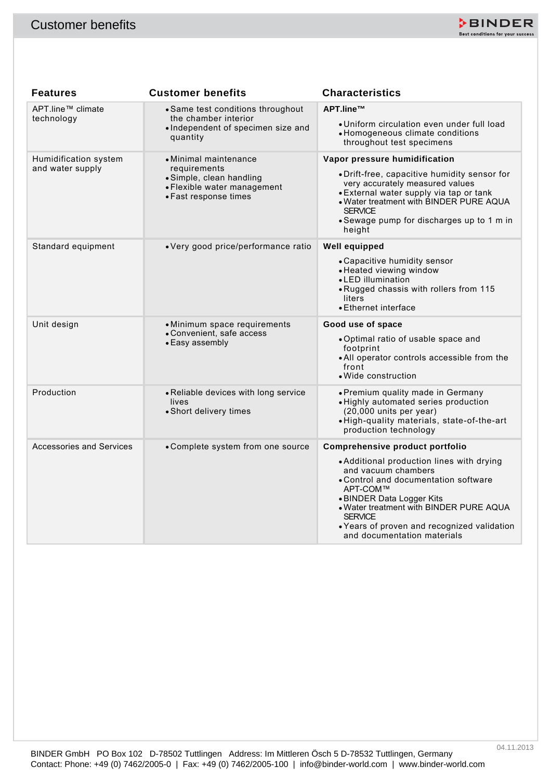

| <b>Customer benefits</b>                  |                                                                                                                           | ≯BINDER<br>Best conditions for your success                                                                                                                                                                                                                                                                                     |
|-------------------------------------------|---------------------------------------------------------------------------------------------------------------------------|---------------------------------------------------------------------------------------------------------------------------------------------------------------------------------------------------------------------------------------------------------------------------------------------------------------------------------|
|                                           |                                                                                                                           |                                                                                                                                                                                                                                                                                                                                 |
| <b>Features</b>                           | <b>Customer benefits</b>                                                                                                  | <b>Characteristics</b>                                                                                                                                                                                                                                                                                                          |
| APT.line™ climate<br>technology           | • Same test conditions throughout<br>the chamber interior<br>• Independent of specimen size and<br>quantity               | APT.line™<br>· Uniform circulation even under full load<br>• Homogeneous climate conditions<br>throughout test specimens                                                                                                                                                                                                        |
| Humidification system<br>and water supply | • Minimal maintenance<br>requirements<br>• Simple, clean handling<br>• Flexible water management<br>• Fast response times | Vapor pressure humidification<br>• Drift-free, capacitive humidity sensor for<br>very accurately measured values<br>• External water supply via tap or tank<br>. Water treatment with BINDER PURE AQUA<br><b>SERVICE</b><br>• Sewage pump for discharges up to 1 m in<br>height                                                 |
| Standard equipment                        | • Very good price/performance ratio                                                                                       | Well equipped<br>• Capacitive humidity sensor<br>• Heated viewing window<br>• LED illumination<br>. Rugged chassis with rollers from 115<br>liters<br>• Ethernet interface                                                                                                                                                      |
| Unit design                               | • Minimum space requirements<br>• Convenient, safe access<br>• Easy assembly                                              | Good use of space<br>. Optimal ratio of usable space and<br>footprint<br>• All operator controls accessible from the<br>front<br>• Wide construction                                                                                                                                                                            |
| Production                                | • Reliable devices with long service<br>lives<br>• Short delivery times                                                   | • Premium quality made in Germany<br>· Highly automated series production<br>$(20,000$ units per year)<br>. High-quality materials, state-of-the-art<br>production technology                                                                                                                                                   |
| <b>Accessories and Services</b>           | • Complete system from one source                                                                                         | Comprehensive product portfolio<br>• Additional production lines with drying<br>and vacuum chambers<br>• Control and documentation software<br>APT-COM™<br>• BINDER Data Logger Kits<br>. Water treatment with BINDER PURE AQUA<br><b>SERVICE</b><br>• Years of proven and recognized validation<br>and documentation materials |
|                                           |                                                                                                                           |                                                                                                                                                                                                                                                                                                                                 |
|                                           | BINDER GmbH PO Box 102 D-78502 Tuttlingen Address: Im Mittleren Ösch 5 D-78532 Tuttlingen, Germany                        | 04.11.2013<br>Contact: Phone: +49 (0) 7462/2005-0   Fax: +49 (0) 7462/2005-100   info@binder-world.com   www.binder-world.com                                                                                                                                                                                                   |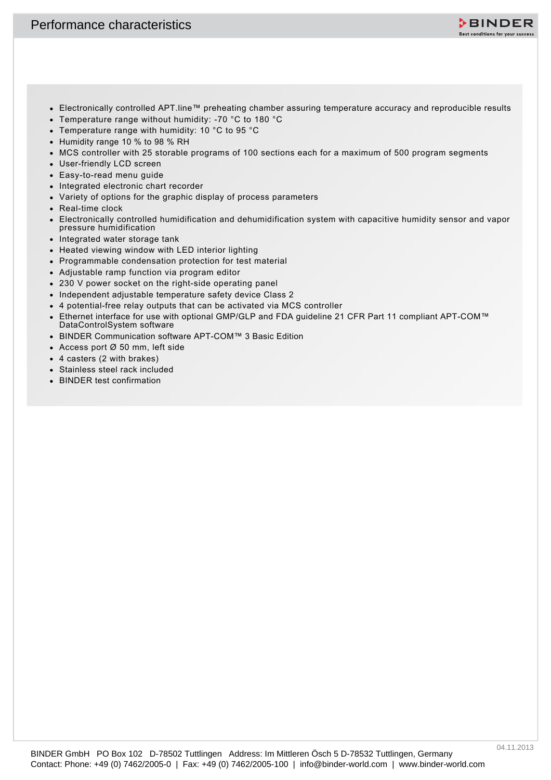

- Electronically controlled APT.line™ preheating chamber assuring temperature accuracy and reproducible results
- Temperature range without humidity: -70 °C to 180 °C
- Temperature range with humidity: 10 °C to 95 °C
- Humidity range 10 % to 98 % RH
- MCS controller with 25 storable programs of 100 sections each for a maximum of 500 program segments
- User-friendly LCD screen
- Easy-to-read menu guide
- Integrated electronic chart recorder
- Variety of options for the graphic display of process parameters
- Real-time clock
- Performance characteristics<br>  $\sim$  Herbannian Control Art Hare " seconde change is a sum temperature accuracy are respected to the control of the control of the Contemporary of the Contemporary of the Contemporary of the C Electronically controlled humidification and dehumidification system with capacitive humidity sensor and vapor pressure humidification
	- Integrated water storage tank
	- Heated viewing window with LED interior lighting
	- Programmable condensation protection for test material
	- Adjustable ramp function via program editor
	- 230 V power socket on the right-side operating panel
	- Independent adjustable temperature safety device Class 2
	- 4 potential-free relay outputs that can be activated via MCS controller
	- Ethernet interface for use with optional GMP/GLP and FDA guideline 21 CFR Part 11 compliant APT-COM™ DataControlSystem software
	- BINDER Communication software APT-COM™ 3 Basic Edition
	- Access port Ø 50 mm, left side
	- 4 casters (2 with brakes)
	- Stainless steel rack included
	- BINDER test confirmation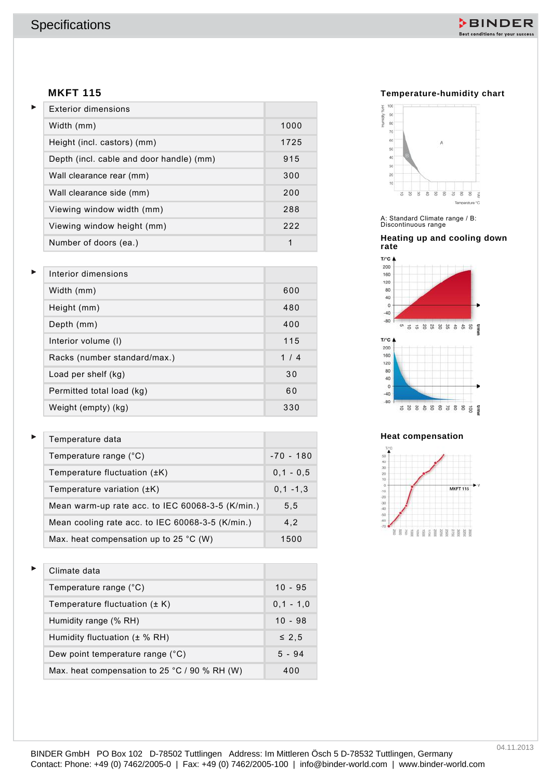

## **MKFT 115**

| <b>Exterior dimensions</b>               |      |
|------------------------------------------|------|
| Width (mm)                               | 1000 |
| Height (incl. castors) (mm)              | 1725 |
| Depth (incl. cable and door handle) (mm) | 915  |
| Wall clearance rear (mm)                 | 300  |
| Wall clearance side (mm)                 | 200  |
| Viewing window width (mm)                | 288  |
| Viewing window height (mm)               | 222  |
| Number of doors (ea.)                    | 1    |

| <b>MKFT 115</b>                                  |               |
|--------------------------------------------------|---------------|
| <b>Exterior dimensions</b>                       |               |
| Width (mm)                                       | 1000          |
| Height (incl. castors) (mm)                      | 1725          |
| Depth (incl. cable and door handle) (mm)         | 915           |
| Wall clearance rear (mm)                         | 300           |
| Wall clearance side (mm)                         | 200           |
| Viewing window width (mm)                        | 288           |
| Viewing window height (mm)                       | 222           |
| Number of doors (ea.)                            | $\mathbf{1}$  |
|                                                  |               |
| Interior dimensions                              |               |
| Width (mm)                                       | 600           |
| Height (mm)                                      | 480           |
| Depth (mm)                                       | 400           |
| Interior volume (I)                              | 115           |
| Racks (number standard/max.)                     | 1/4           |
| Load per shelf (kg)                              | 30            |
| Permitted total load (kg)                        | 60            |
| Weight (empty) (kg)                              | 330           |
| Temperature data                                 |               |
| Temperature range (°C)                           | $-70 - 180$   |
| Temperature fluctuation (±K)                     | $0, 1 - 0, 5$ |
| Temperature variation (±K)                       | $0, 1 - 1, 3$ |
| Mean warm-up rate acc. to IEC 60068-3-5 (K/min.) | 5,5           |
| Mean cooling rate acc. to IEC 60068-3-5 (K/min.) | 4,2           |
| Max. heat compensation up to 25 $^{\circ}$ C (W) | 1500          |
| Climate data                                     |               |
| Temperature range (°C)                           | $10 - 95$     |
| Temperature fluctuation $(\pm K)$                | $0, 1 - 1, 0$ |
| Humidity range (% RH)                            | $10 - 98$     |
| Humidity fluctuation (± % RH)                    | $\leq 2,5$    |
| Dew point temperature range (°C)                 | $5 - 94$      |
| Max. heat compensation to 25 °C / 90 % RH (W)    | 400           |

| Temperature data                                   |               |
|----------------------------------------------------|---------------|
| Temperature range (°C)                             | $-70 - 180$   |
| Temperature fluctuation $(\pm K)$                  | $0.1 - 0.5$   |
| Temperature variation $(\pm K)$                    | $0, 1 - 1, 3$ |
| Mean warm-up rate acc. to IEC 60068-3-5 (K/min.)   | 5, 5          |
| Mean cooling rate acc. to IEC 60068-3-5 $(K/min.)$ | 4.2           |
| Max. heat compensation up to 25 $^{\circ}$ C (W)   | 1500          |

| Climate data                                  |             |
|-----------------------------------------------|-------------|
| Temperature range (°C)                        | $10 - 95$   |
| Temperature fluctuation $(\pm K)$             | $0.1 - 1.0$ |
| Humidity range (% RH)                         | $10 - 98$   |
| Humidity fluctuation $(\pm \% \, RH)$         | $\leq 2.5$  |
| Dew point temperature range (°C)              | $5 - 94$    |
| Max. heat compensation to 25 °C / 90 % RH (W) | 400         |

## **Temperature-humidity chart**



### **Heating up and cooling down rate**



#### **Heat compensation**

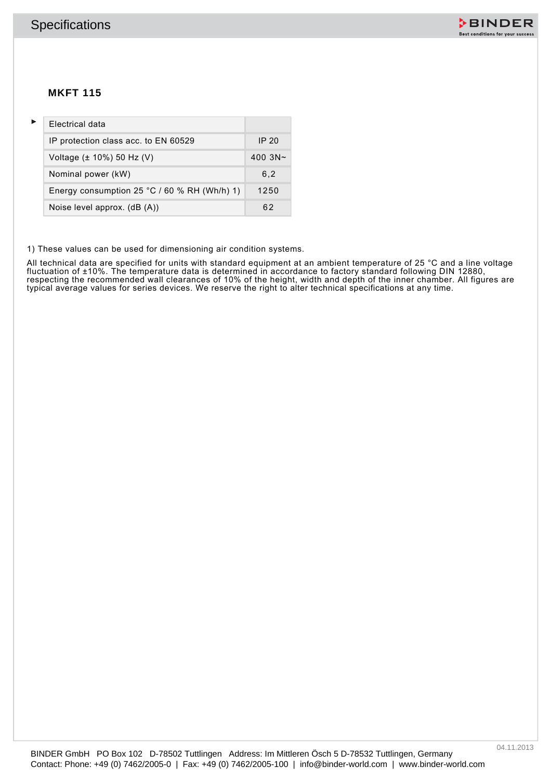

## **MKFT 115**

|   | <b>Specifications</b>                                                                                                                                                                                                 |         |  |  |  | DBINDER<br>Best conditions for your success |
|---|-----------------------------------------------------------------------------------------------------------------------------------------------------------------------------------------------------------------------|---------|--|--|--|---------------------------------------------|
|   | <b>MKFT 115</b>                                                                                                                                                                                                       |         |  |  |  |                                             |
| Þ | Electrical data                                                                                                                                                                                                       |         |  |  |  |                                             |
|   | IP protection class acc. to EN 60529                                                                                                                                                                                  | IP 20   |  |  |  |                                             |
|   | Voltage (± 10%) 50 Hz (V)                                                                                                                                                                                             | 400 3N~ |  |  |  |                                             |
|   | Nominal power (kW)                                                                                                                                                                                                    | 6, 2    |  |  |  |                                             |
|   | Energy consumption 25 °C / 60 % RH (Wh/h) 1)                                                                                                                                                                          | 1250    |  |  |  |                                             |
|   | Noise level approx. (dB (A))                                                                                                                                                                                          | 62      |  |  |  |                                             |
|   |                                                                                                                                                                                                                       |         |  |  |  |                                             |
|   | BINDER GmbH PO Box 102 D-78502 Tuttlingen Address: Im Mittleren Ösch 5 D-78532 Tuttlingen, Germany<br>Contact: Phone: +49 (0) 7462/2005-0   Fax: +49 (0) 7462/2005-100   info@binder-world.com   www.binder-world.com |         |  |  |  | 04.11.2013                                  |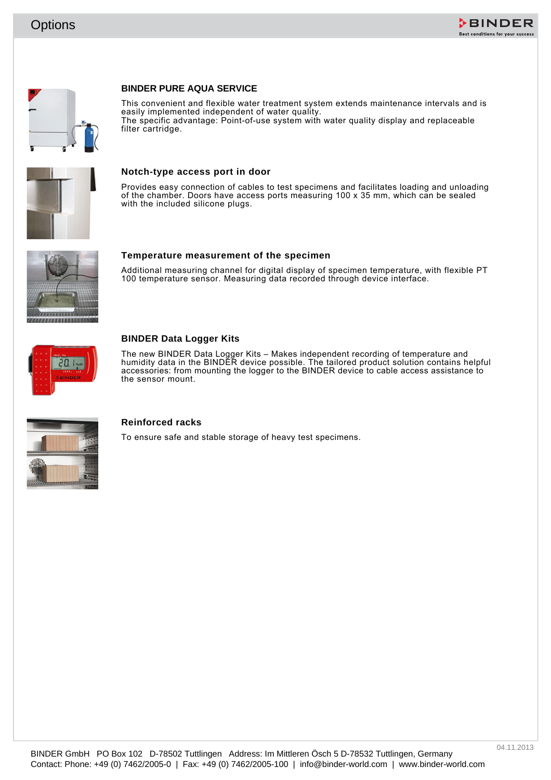





## **BINDER PURE AQUA SERVICE**

Contact: Phone: +49 (0) 7462/2005-0 | Fax: +49 (0) 7462/2005-0 | Fax: +49 (0) 7462/2005-0 | Fax: +49 (0) 7462/2005-0 | Fax: +49 (0) 7462/2005-0 | Fax: +49 (0) 7462/2013-0 | Fax: +49 (0) 7462/2013-0 | Fax: +49 (0) 7462/2013 This convenient and flexible water treatment system extends maintenance intervals and is easily implemented independent of water quality. The specific advantage: Point-of-use system with water quality display and replaceable filter cartridge.



#### **Notch-type access port in door**

Provides easy connection of cables to test specimens and facilitates loading and unloading of the chamber. Doors have access ports measuring  $100 \times 35$  mm, which can be sealed with the included silicone plugs.



#### **Temperature measurement of the specimen**

Additional measuring channel for digital display of specimen temperature, with flexible PT 100 temperature sensor. Measuring data recorded through device interface.



## **BINDER Data Logger Kits**

The new BINDER Data Logger Kits – Makes independent recording of temperature and humidity data in the BINDER device possible. The tailored product solution contains helpful accessories: from mounting the logger to the BINDER device to cable access assistance to the sensor mount.



## **Reinforced racks**

To ensure safe and stable storage of heavy test specimens.